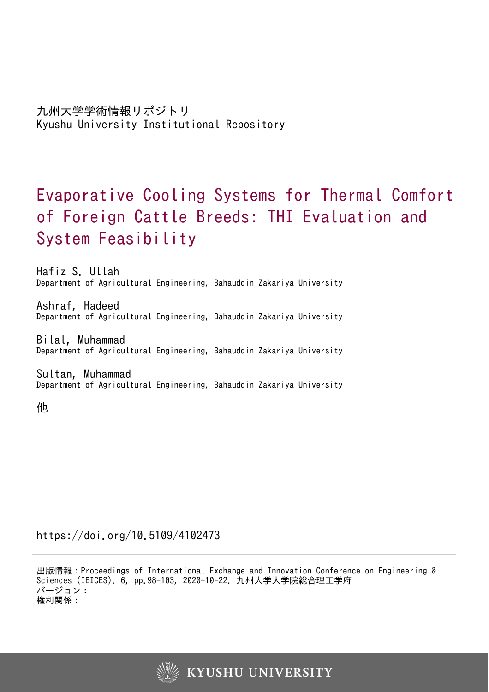# Evaporative Cooling Systems for Thermal Comfort of Foreign Cattle Breeds: THI Evaluation and System Feasibility

Hafiz S. Ullah Department of Agricultural Engineering, Bahauddin Zakariya University

Ashraf, Hadeed Department of Agricultural Engineering, Bahauddin Zakariya University

Bilal, Muhammad Department of Agricultural Engineering, Bahauddin Zakariya University

Sultan, Muhammad Department of Agricultural Engineering, Bahauddin Zakariya University

他

https://doi.org/10.5109/4102473

出版情報:Proceedings of International Exchange and Innovation Conference on Engineering & Sciences (IEICES). 6, pp.98-103, 2020-10-22. 九州大学大学院総合理工学府 バージョン: 権利関係:

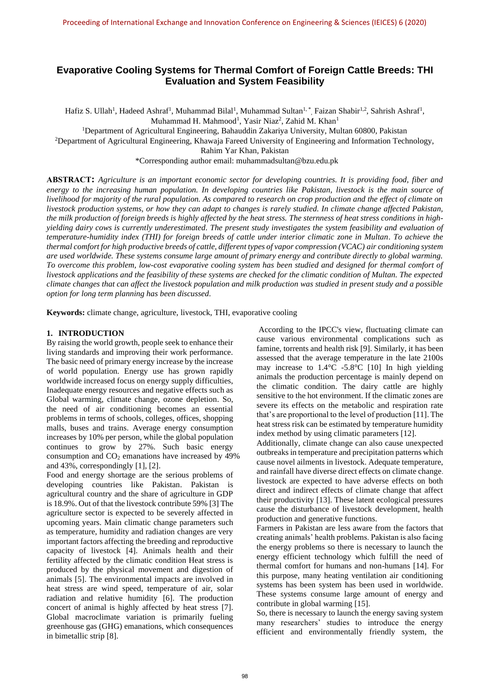## **Evaporative Cooling Systems for Thermal Comfort of Foreign Cattle Breeds: THI Evaluation and System Feasibility**

Hafiz S. Ullah<sup>1</sup>, Hadeed Ashraf<sup>1</sup>, Muhammad Bilal<sup>1</sup>, Muhammad Sultan<sup>1,\*</sup>, Faizan Shabir<sup>1,2</sup>, Sahrish Ashraf<sup>1</sup>, Muhammad H. Mahmood<sup>1</sup>, Yasir Niaz<sup>2</sup>, Zahid M. Khan<sup>1</sup>

<sup>1</sup>Department of Agricultural Engineering, Bahauddin Zakariya University, Multan 60800, Pakistan

<sup>2</sup>Department of Agricultural Engineering, Khawaja Fareed University of Engineering and Information Technology,

Rahim Yar Khan, Pakistan

\*Corresponding author email: [muhammadsultan@bzu.edu.pk](mailto:muhammadsultan@bzu.edu.pk)

**ABSTRACT:** *Agriculture is an important economic sector for developing countries. It is providing food, fiber and energy to the increasing human population. In developing countries like Pakistan, livestock is the main source of livelihood for majority of the rural population. As compared to research on crop production and the effect of climate on livestock production systems, or how they can adapt to changes is rarely studied. In climate change affected Pakistan, the milk production of foreign breeds is highly affected by the heat stress. The sternness of heat stress conditions in highyielding dairy cows is currently underestimated. The present study investigates the system feasibility and evaluation of temperature-humidity index (THI) for foreign breeds of cattle under interior climatic zone in Multan. To achieve the thermal comfort for high productive breeds of cattle, different types of vapor compression (VCAC) air conditioning system are used worldwide. These systems consume large amount of primary energy and contribute directly to global warming. To overcome this problem, low-cost evaporative cooling system has been studied and designed for thermal comfort of livestock applications and the feasibility of these systems are checked for the climatic condition of Multan. The expected climate changes that can affect the livestock population and milk production was studied in present study and a possible option for long term planning has been discussed.*

**Keywords:** climate change, agriculture, livestock, THI, evaporative cooling

## **1. INTRODUCTION**

By raising the world growth, people seek to enhance their living standards and improving their work performance. The basic need of primary energy increase by the increase of world population. Energy use has grown rapidly worldwide increased focus on energy supply difficulties, Inadequate energy resources and negative effects such as Global warming, climate change, ozone depletion. So, the need of air conditioning becomes an essential problems in terms of schools, colleges, offices, shopping malls, buses and trains. Average energy consumption increases by 10% per person, while the global population continues to grow by 27%. Such basic energy consumption and  $CO<sub>2</sub>$  emanations have increased by 49% and 43%, correspondingly [1], [2].

Food and energy shortage are the serious problems of developing countries like Pakistan. Pakistan is agricultural country and the share of agriculture in GDP is 18.9%. Out of that the livestock contribute 59% [3] The agriculture sector is expected to be severely affected in upcoming years. Main climatic change parameters such as temperature, humidity and radiation changes are very important factors affecting the breeding and reproductive capacity of livestock [4]. Animals health and their fertility affected by the climatic condition Heat stress is produced by the physical movement and digestion of animals [5]. The environmental impacts are involved in heat stress are wind speed, temperature of air, solar radiation and relative humidity [6]. The production concert of animal is highly affected by heat stress [7]. Global macroclimate variation is primarily fueling greenhouse gas (GHG) emanations, which consequences in bimetallic strip [8].

According to the IPCC's view, fluctuating climate can cause various environmental complications such as famine, torrents and health risk [9]. Similarly, it has been assessed that the average temperature in the late 2100s may increase to 1.4°C -5.8°C [10] In high yielding animals the production percentage is mainly depend on the climatic condition. The dairy cattle are highly sensitive to the hot environment. If the climatic zones are severe its effects on the metabolic and respiration rate that's are proportional to the level of production [11]. The heat stress risk can be estimated by temperature humidity index method by using climatic parameters [12].

Additionally, climate change can also cause unexpected outbreaks in temperature and precipitation patterns which cause novel ailments in livestock. Adequate temperature, and rainfall have diverse direct effects on climate change. livestock are expected to have adverse effects on both direct and indirect effects of climate change that affect their productivity [13]. These latent ecological pressures cause the disturbance of livestock development, health production and generative functions.

Farmers in Pakistan are less aware from the factors that creating animals' health problems. Pakistan is also facing the energy problems so there is necessary to launch the energy efficient technology which fulfill the need of thermal comfort for humans and non-humans [14]. For this purpose, many heating ventilation air conditioning systems has been system has been used in worldwide. These systems consume large amount of energy and contribute in global warming [15].

So, there is necessary to launch the energy saving system many researchers' studies to introduce the energy efficient and environmentally friendly system, the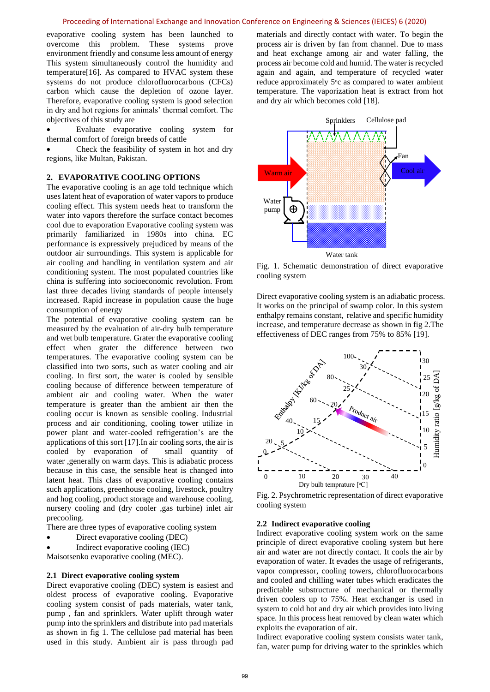evaporative cooling system has been launched to overcome this problem. These systems prove environment friendly and consume less amount of energy This system simultaneously control the humidity and temperature[16]. As compared to HVAC system these systems do not produce chlorofluorocarbons (CFCs) carbon which cause the depletion of ozone layer. Therefore, evaporative cooling system is good selection in dry and hot regions for animals' thermal comfort. The objectives of this study are

• Evaluate evaporative cooling system for thermal comfort of foreign breeds of cattle

Check the feasibility of system in hot and dry regions, like Multan, Pakistan.

## **2. EVAPORATIVE COOLING OPTIONS**

The evaporative cooling is an age told technique which uses latent heat of evaporation of water vapors to produce cooling effect. This system needs heat to transform the water into vapors therefore the surface contact becomes cool due to evaporation Evaporative cooling system was primarily familiarized in 1980s into china. EC performance is expressively prejudiced by means of the outdoor air surroundings. This system is applicable for air cooling and handling in ventilation system and air conditioning system. The most populated countries like china is suffering into socioeconomic revolution. From last three decades living standards of people intensely increased. Rapid increase in population cause the huge consumption of energy

The potential of evaporative cooling system can be measured by the evaluation of air-dry bulb temperature and wet bulb temperature. Grater the evaporative cooling effect when grater the difference between two temperatures. The evaporative cooling system can be classified into two sorts, such as water cooling and air cooling. In first sort, the water is cooled by sensible cooling because of difference between temperature of ambient air and cooling water. When the water temperature is greater than the ambient air then the cooling occur is known as sensible cooling. Industrial process and air conditioning, cooling tower utilize in power plant and water-cooled refrigeration's are the applications of this sort [17].In air cooling sorts, the air is cooled by evaporation of small quantity of water ,generally on warm days. This is adiabatic process because in this case, the sensible heat is changed into latent heat. This class of evaporative cooling contains such applications, greenhouse cooling, livestock, poultry and hog cooling, product storage and warehouse cooling, nursery cooling and (dry cooler ,gas turbine) inlet air precooling.

There are three types of evaporative cooling system

• Direct evaporative cooling (DEC)

• Indirect evaporative cooling (IEC) Maisotsenko evaporative cooling (MEC).

## **2.1 Direct evaporative cooling system**

Direct evaporative cooling (DEC) system is easiest and oldest process of evaporative cooling. Evaporative cooling system consist of pads materials, water tank, pump , fan and sprinklers. Water uplift through water pump into the sprinklers and distribute into pad materials as shown in fig 1. The cellulose pad material has been used in this study. Ambient air is pass through pad materials and directly contact with water. To begin the process air is driven by fan from channel. Due to mass and heat exchange among air and water falling, the process air become cold and humid. The water is recycled again and again, and temperature of recycled water reduce approximately 5<sup>o</sup>c as compared to water ambient temperature. The vaporization heat is extract from hot and dry air which becomes cold [18].



Fig. 1. Schematic demonstration of direct evaporative cooling system

Direct evaporative cooling system is an adiabatic process. It works on the principal of swamp color. In this system enthalpy remains constant, relative and specific humidity increase, and temperature decrease as shown in fig 2.The effectiveness of DEC ranges from 75% to 85% [19].



Fig. 2. Psychrometric representation of direct evaporative cooling system

## **2.2 Indirect evaporative cooling**

Indirect evaporative cooling system work on the same principle of direct evaporative cooling system but here air and water are not directly contact. It cools the air by evaporation of water. It evades the usage of refrigerants, vapor compressor, cooling towers, chlorofluorocarbons and cooled and chilling water tubes which eradicates the predictable substructure of mechanical or thermally driven coolers up to 75%. Heat exchanger is used in system to cold hot and dry air which provides into living space. In this process heat removed by clean water which exploits the evaporation of air.

Indirect evaporative cooling system consists water tank, fan, water pump for driving water to the sprinkles which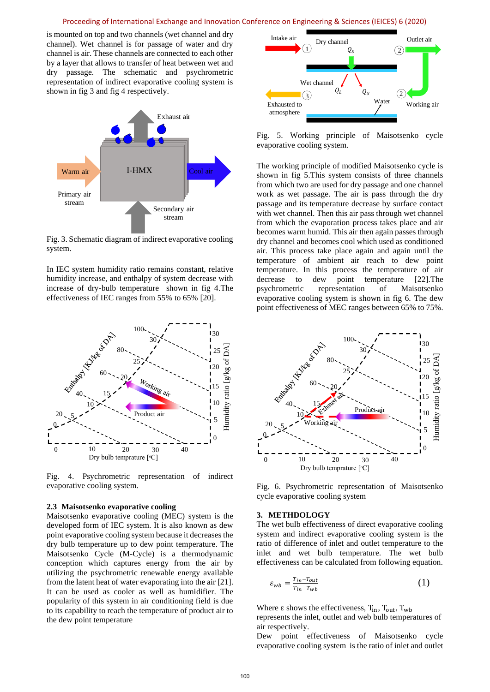is mounted on top and two channels (wet channel and dry channel). Wet channel is for passage of water and dry channel is air. These channels are connected to each other by a layer that allows to transfer of heat between wet and dry passage. The schematic and psychrometric representation of indirect evaporative cooling system is shown in fig 3 and fig 4 respectively.



Fig. 3. Schematic diagram of indirect evaporative cooling system.

In IEC system humidity ratio remains constant, relative humidity increase, and enthalpy of system decrease with increase of dry-bulb temperature shown in fig 4.The effectiveness of IEC ranges from 55% to 65% [20].



Fig. 4. Psychrometric representation of indirect evaporative cooling system.

#### **2.3 Maisotsenko evaporative cooling**

Maisotsenko evaporative cooling (MEC) system is the developed form of IEC system. It is also known as dew point evaporative cooling system because it decreases the dry bulb temperature up to dew point temperature. The Maisotsenko Cycle (M-Cycle) is a thermodynamic conception which captures energy from the air by utilizing the psychrometric renewable energy available from the latent heat of water evaporating into the air [21]. It can be used as cooler as well as humidifier. The popularity of this system in air conditioning field is due to its capability to reach the temperature of product air to the dew point temperature



Fig. 5. Working principle of Maisotsenko cycle evaporative cooling system.

The working principle of modified Maisotsenko cycle is shown in fig 5.This system consists of three channels from which two are used for dry passage and one channel work as wet passage. The air is pass through the dry passage and its temperature decrease by surface contact with wet channel. Then this air pass through wet channel from which the evaporation process takes place and air becomes warm humid. This air then again passes through dry channel and becomes cool which used as conditioned air. This process take place again and again until the temperature of ambient air reach to dew point temperature. In this process the temperature of air decrease to dew point temperature [22].The psychrometric representation of Maisotsenko evaporative cooling system is shown in fig 6. The dew point effectiveness of MEC ranges between 65% to 75%.



Fig. 6. Psychrometric representation of Maisotsenko cycle evaporative cooling system

#### **3. METHDOLOGY**

The wet bulb effectiveness of direct evaporative cooling system and indirect evaporative cooling system is the ratio of difference of inlet and outlet temperature to the inlet and wet bulb temperature. The wet bulb effectiveness can be calculated from following equation.

$$
\varepsilon_{wb} = \frac{r_{in} - r_{out}}{r_{in} - r_{wb}}\tag{1}
$$

Where  $\varepsilon$  shows the effectiveness,  $T_{in}$ ,  $T_{out}$ ,  $T_{wh}$ 

represents the inlet, outlet and web bulb temperatures of air respectively.

Dew point effectiveness of Maisotsenko cycle evaporative cooling system is the ratio of inlet and outlet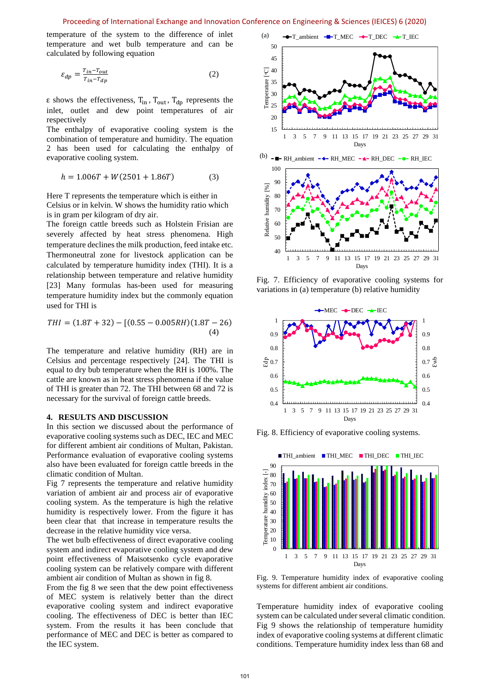temperature of the system to the difference of inlet temperature and wet bulb temperature and can be calculated by following equation

$$
\varepsilon_{dp} = \frac{r_{in} - r_{out}}{r_{in} - r_{dp}}
$$
 (2)

 $\epsilon$  shows the effectiveness,  $T_{in}$ ,  $T_{out}$ ,  $T_{dp}$  represents the inlet, outlet and dew point temperatures of air respectively

The enthalpy of evaporative cooling system is the combination of temperature and humidity. The equation 2 has been used for calculating the enthalpy of evaporative cooling system.

$$
h = 1.006T + W(2501 + 1.86T)
$$
 (3)

Here T represents the temperature which is either in Celsius or in kelvin. W shows the humidity ratio which is in gram per kilogram of dry air.

The foreign cattle breeds such as Holstein Frisian are severely affected by heat stress phenomena. High temperature declines the milk production, feed intake etc. Thermoneutral zone for livestock application can be calculated by temperature humidity index (THI). It is a relationship between temperature and relative humidity [23] Many formulas has-been used for measuring temperature humidity index but the commonly equation used for THI is

$$
THI = (1.8T + 32) - [(0.55 - 0.005RH)(1.8T - 26)
$$
  
(4)

The temperature and relative humidity (RH) are in Celsius and percentage respectively [24]. The THI is equal to dry bub temperature when the RH is 100%. The cattle are known as in heat stress phenomena if the value of THI is greater than 72. The THI between 68 and 72 is necessary for the survival of foreign cattle breeds.

## **4. RESULTS AND DISCUSSION**

In this section we discussed about the performance of evaporative cooling systems such as DEC, IEC and MEC for different ambient air conditions of Multan, Pakistan. Performance evaluation of evaporative cooling systems also have been evaluated for foreign cattle breeds in the climatic condition of Multan.

Fig 7 represents the temperature and relative humidity variation of ambient air and process air of evaporative cooling system. As the temperature is high the relative humidity is respectively lower. From the figure it has been clear that that increase in temperature results the decrease in the relative humidity vice versa.

The wet bulb effectiveness of direct evaporative cooling system and indirect evaporative cooling system and dew point effectiveness of Maisotsenko cycle evaporative cooling system can be relatively compare with different ambient air condition of Multan as shown in fig 8.

From the fig 8 we seen that the dew point effectiveness of MEC system is relatively better than the direct evaporative cooling system and indirect evaporative cooling. The effectiveness of DEC is better than IEC system. From the results it has been conclude that performance of MEC and DEC is better as compared to the IEC system.



Fig. 7. Efficiency of evaporative cooling systems for variations in (a) temperature (b) relative humidity

Days



Fig. 8. Efficiency of evaporative cooling systems.



Fig. 9. Temperature humidity index of evaporative cooling systems for different ambient air conditions.

Temperature humidity index of evaporative cooling system can be calculated under several climatic condition. Fig 9 shows the relationship of temperature humidity index of evaporative cooling systems at different climatic conditions. Temperature humidity index less than 68 and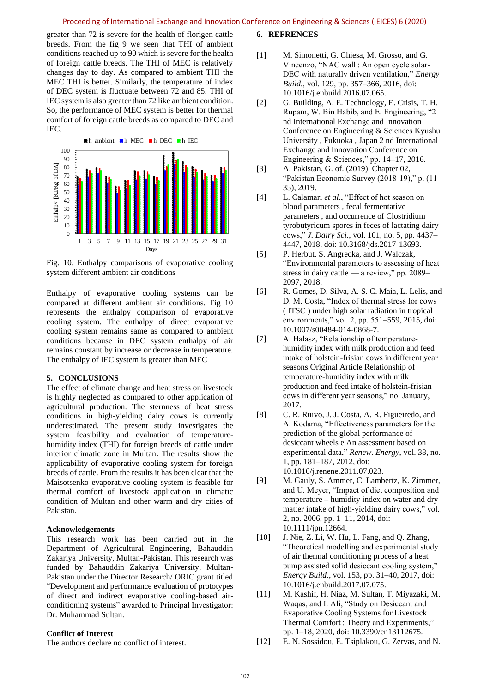greater than 72 is severe for the health of florigen cattle breeds. From the fig 9 we seen that THI of ambient conditions reached up to 90 which is severe for the health of foreign cattle breeds. The THI of MEC is relatively changes day to day. As compared to ambient THI the MEC THI is better. Similarly, the temperature of index of DEC system is fluctuate between 72 and 85. THI of IEC system is also greater than 72 like ambient condition. So, the performance of MEC system is better for thermal comfort of foreign cattle breeds as compared to DEC and IEC.



Fig. 10. Enthalpy comparisons of evaporative cooling system different ambient air conditions

Enthalpy of evaporative cooling systems can be compared at different ambient air conditions. Fig 10 represents the enthalpy comparison of evaporative cooling system. The enthalpy of direct evaporative cooling system remains same as compared to ambient conditions because in DEC system enthalpy of air remains constant by increase or decrease in temperature. The enthalpy of IEC system is greater than MEC

## **5. CONCLUSIONS**

The effect of climate change and heat stress on livestock is highly neglected as compared to other application of agricultural production. The sternness of heat stress conditions in high-yielding dairy cows is currently underestimated. The present study investigates the system feasibility and evaluation of temperaturehumidity index (THI) for foreign breeds of cattle under interior climatic zone in Multan**.** The results show the applicability of evaporative cooling system for foreign breeds of cattle. From the results it has been clear that the Maisotsenko evaporative cooling system is feasible for thermal comfort of livestock application in climatic condition of Multan and other warm and dry cities of Pakistan.

## **Acknowledgements**

This research work has been carried out in the Department of Agricultural Engineering, Bahauddin Zakariya University, Multan-Pakistan. This research was funded by Bahauddin Zakariya University, Multan-Pakistan under the Director Research/ ORIC grant titled "Development and performance evaluation of prototypes of direct and indirect evaporative cooling-based airconditioning systems" awarded to Principal Investigator: Dr. Muhammad Sultan.

## **Conflict of Interest**

The authors declare no conflict of interest.

## **6. REFRENCES**

- [1] M. Simonetti, G. Chiesa, M. Grosso, and G. Vincenzo, "NAC wall : An open cycle solar-DEC with naturally driven ventilation," *Energy Build.*, vol. 129, pp. 357–366, 2016, doi: 10.1016/j.enbuild.2016.07.065.
- [2] G. Building, A. E. Technology, E. Crisis, T. H. Rupam, W. Bin Habib, and E. Engineering, "2 nd International Exchange and Innovation Conference on Engineering & Sciences Kyushu University , Fukuoka , Japan 2 nd International Exchange and Innovation Conference on Engineering & Sciences," pp. 14–17, 2016.
- [3] A. Pakistan, G. of. (2019). Chapter 02, "Pakistan Economic Survey (2018-19)," p. (11- 35), 2019.
- [4] L. Calamari *et al.*, "Effect of hot season on blood parameters , fecal fermentative parameters , and occurrence of Clostridium tyrobutyricum spores in feces of lactating dairy cows," *J. Dairy Sci.*, vol. 101, no. 5, pp. 4437– 4447, 2018, doi: 10.3168/jds.2017-13693.
- [5] P. Herbut, S. Angrecka, and J. Walczak, "Environmental parameters to assessing of heat stress in dairy cattle — a review," pp. 2089– 2097, 2018.
- [6] R. Gomes, D. Silva, A. S. C. Maia, L. Lelis, and D. M. Costa, "Index of thermal stress for cows ( ITSC ) under high solar radiation in tropical environments," vol. 2, pp. 551–559, 2015, doi: 10.1007/s00484-014-0868-7.
- [7] A. Halasz, "Relationship of temperaturehumidity index with milk production and feed intake of holstein-frisian cows in different year seasons Original Article Relationship of temperature-humidity index with milk production and feed intake of holstein-frisian cows in different year seasons," no. January, 2017.
- [8] C. R. Ruivo, J. J. Costa, A. R. Figueiredo, and A. Kodama, "Effectiveness parameters for the prediction of the global performance of desiccant wheels e An assessment based on experimental data," *Renew. Energy*, vol. 38, no. 1, pp. 181–187, 2012, doi: 10.1016/j.renene.2011.07.023.
- [9] M. Gauly, S. Ammer, C. Lambertz, K. Zimmer, and U. Meyer, "Impact of diet composition and temperature – humidity index on water and dry matter intake of high-yielding dairy cows," vol. 2, no. 2006, pp. 1–11, 2014, doi: 10.1111/jpn.12664.
- [10] J. Nie, Z. Li, W. Hu, L. Fang, and Q. Zhang, "Theoretical modelling and experimental study of air thermal conditioning process of a heat pump assisted solid desiccant cooling system," *Energy Build.*, vol. 153, pp. 31–40, 2017, doi: 10.1016/j.enbuild.2017.07.075.
- [11] M. Kashif, H. Niaz, M. Sultan, T. Miyazaki, M. Waqas, and I. Ali, "Study on Desiccant and Evaporative Cooling Systems for Livestock Thermal Comfort : Theory and Experiments," pp. 1–18, 2020, doi: 10.3390/en13112675.
- [12] E. N. Sossidou, E. Tsiplakou, G. Zervas, and N.